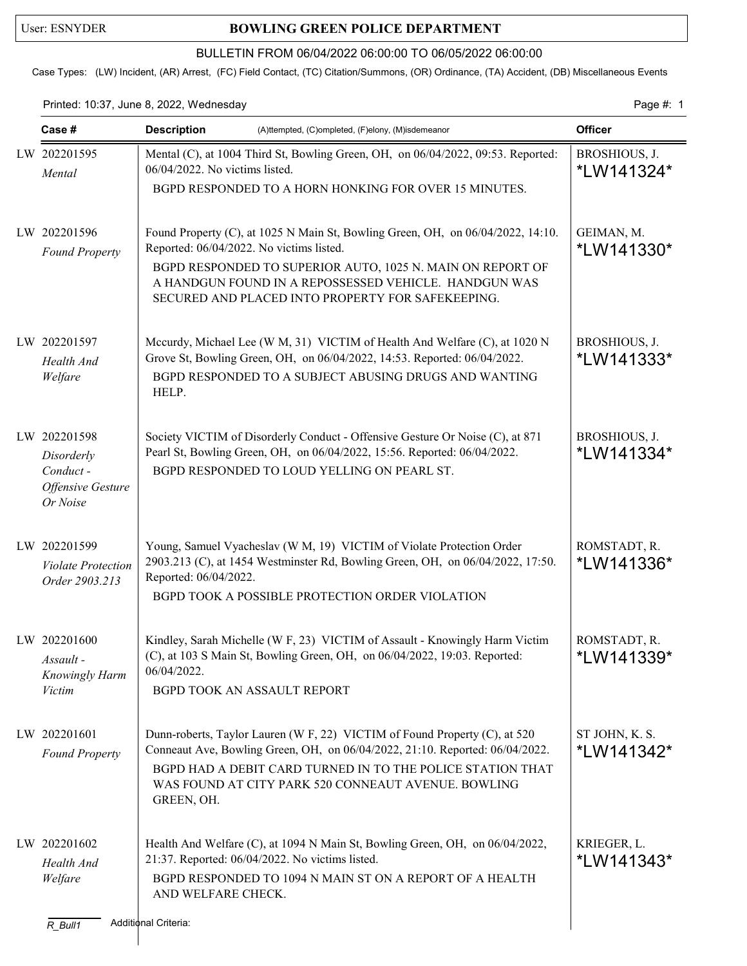## User: ESNYDER **BOWLING GREEN POLICE DEPARTMENT**

### BULLETIN FROM 06/04/2022 06:00:00 TO 06/05/2022 06:00:00

Case Types: (LW) Incident, (AR) Arrest, (FC) Field Contact, (TC) Citation/Summons, (OR) Ordinance, (TA) Accident, (DB) Miscellaneous Events

Printed: 10:37, June 8, 2022, Wednesday extending the state of the page 4: 1

| Case #                                                                         | <b>Description</b><br>(A)ttempted, (C)ompleted, (F)elony, (M)isdemeanor                                                                                                                                                                                                                                 |                              |
|--------------------------------------------------------------------------------|---------------------------------------------------------------------------------------------------------------------------------------------------------------------------------------------------------------------------------------------------------------------------------------------------------|------------------------------|
| LW 202201595<br>Mental                                                         | Mental (C), at 1004 Third St, Bowling Green, OH, on 06/04/2022, 09:53. Reported:<br>06/04/2022. No victims listed.<br>BGPD RESPONDED TO A HORN HONKING FOR OVER 15 MINUTES.                                                                                                                             | BROSHIOUS, J.<br>*LW141324*  |
| LW 202201596<br><b>Found Property</b>                                          | Found Property (C), at 1025 N Main St, Bowling Green, OH, on 06/04/2022, 14:10.<br>Reported: 06/04/2022. No victims listed.<br>BGPD RESPONDED TO SUPERIOR AUTO, 1025 N. MAIN ON REPORT OF<br>A HANDGUN FOUND IN A REPOSSESSED VEHICLE. HANDGUN WAS<br>SECURED AND PLACED INTO PROPERTY FOR SAFEKEEPING. | GEIMAN, M.<br>*LW141330*     |
| LW 202201597<br>Health And<br>Welfare                                          | Mccurdy, Michael Lee (W M, 31) VICTIM of Health And Welfare (C), at 1020 N<br>Grove St, Bowling Green, OH, on 06/04/2022, 14:53. Reported: 06/04/2022.<br>BGPD RESPONDED TO A SUBJECT ABUSING DRUGS AND WANTING<br>HELP.                                                                                | BROSHIOUS, J.<br>*LW141333*  |
| LW 202201598<br>Disorderly<br>Conduct-<br><b>Offensive Gesture</b><br>Or Noise | Society VICTIM of Disorderly Conduct - Offensive Gesture Or Noise (C), at 871<br>Pearl St, Bowling Green, OH, on 06/04/2022, 15:56. Reported: 06/04/2022.<br>BGPD RESPONDED TO LOUD YELLING ON PEARL ST.                                                                                                | BROSHIOUS, J.<br>*LW141334*  |
| LW 202201599<br><b>Violate Protection</b><br>Order 2903.213                    | Young, Samuel Vyacheslav (W M, 19) VICTIM of Violate Protection Order<br>2903.213 (C), at 1454 Westminster Rd, Bowling Green, OH, on 06/04/2022, 17:50.<br>Reported: 06/04/2022.<br>BGPD TOOK A POSSIBLE PROTECTION ORDER VIOLATION                                                                     | ROMSTADT, R.<br>*LW141336*   |
| LW 202201600<br>Assault -<br>Knowingly Harm<br><b>Victim</b>                   | Kindley, Sarah Michelle (W F, 23) VICTIM of Assault - Knowingly Harm Victim<br>(C), at 103 S Main St, Bowling Green, OH, on 06/04/2022, 19:03. Reported:<br>06/04/2022.<br>BGPD TOOK AN ASSAULT REPORT                                                                                                  | ROMSTADT, R.<br>*LW141339*   |
| LW 202201601<br><b>Found Property</b>                                          | Dunn-roberts, Taylor Lauren (W F, 22) VICTIM of Found Property (C), at 520<br>Conneaut Ave, Bowling Green, OH, on 06/04/2022, 21:10. Reported: 06/04/2022.<br>BGPD HAD A DEBIT CARD TURNED IN TO THE POLICE STATION THAT<br>WAS FOUND AT CITY PARK 520 CONNEAUT AVENUE. BOWLING<br>GREEN, OH.           | ST JOHN, K. S.<br>*LW141342* |
| LW 202201602<br>Health And<br>Welfare<br>$R_B$ ull1                            | Health And Welfare (C), at 1094 N Main St, Bowling Green, OH, on 06/04/2022,<br>21:37. Reported: 06/04/2022. No victims listed.<br>BGPD RESPONDED TO 1094 N MAIN ST ON A REPORT OF A HEALTH<br>AND WELFARE CHECK.<br>Additional Criteria:                                                               | KRIEGER, L.<br>*LW141343*    |
|                                                                                |                                                                                                                                                                                                                                                                                                         |                              |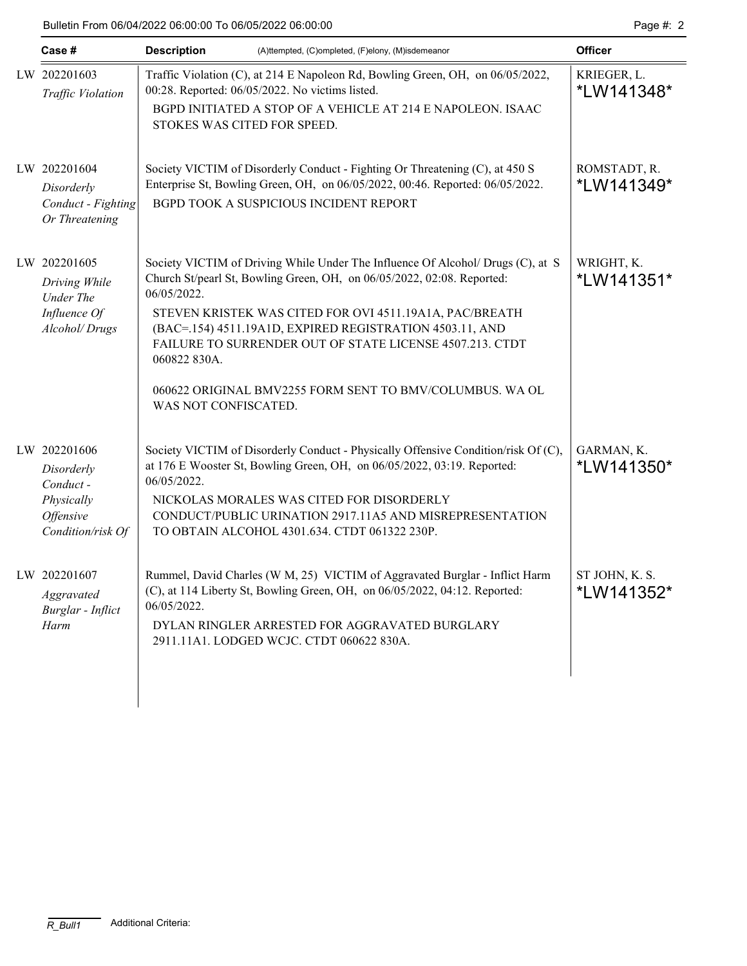### Bulletin From 06/04/2022 06:00:00 To 06/05/2022 06:00:00 Page #: 2

| Case #                                                                                               | <b>Description</b>                                  | (A)ttempted, (C)ompleted, (F)elony, (M)isdemeanor                                                                                                                                                                                                                                                                                                                                                        | <b>Officer</b>               |
|------------------------------------------------------------------------------------------------------|-----------------------------------------------------|----------------------------------------------------------------------------------------------------------------------------------------------------------------------------------------------------------------------------------------------------------------------------------------------------------------------------------------------------------------------------------------------------------|------------------------------|
| LW 202201603<br>Traffic Violation                                                                    | STOKES WAS CITED FOR SPEED.                         | Traffic Violation (C), at 214 E Napoleon Rd, Bowling Green, OH, on 06/05/2022,<br>00:28. Reported: 06/05/2022. No victims listed.<br>BGPD INITIATED A STOP OF A VEHICLE AT 214 E NAPOLEON. ISAAC                                                                                                                                                                                                         | KRIEGER, L.<br>*LW141348*    |
| LW 202201604<br>Disorderly<br>Conduct - Fighting<br>Or Threatening                                   |                                                     | Society VICTIM of Disorderly Conduct - Fighting Or Threatening (C), at 450 S<br>Enterprise St, Bowling Green, OH, on 06/05/2022, 00:46. Reported: 06/05/2022.<br>BGPD TOOK A SUSPICIOUS INCIDENT REPORT                                                                                                                                                                                                  | ROMSTADT, R.<br>*LW141349*   |
| LW 202201605<br>Driving While<br><b>Under The</b><br>Influence Of<br>Alcohol/Drugs                   | 06/05/2022.<br>060822 830A.<br>WAS NOT CONFISCATED. | Society VICTIM of Driving While Under The Influence Of Alcohol/ Drugs (C), at S<br>Church St/pearl St, Bowling Green, OH, on 06/05/2022, 02:08. Reported:<br>STEVEN KRISTEK WAS CITED FOR OVI 4511.19A1A, PAC/BREATH<br>(BAC=.154) 4511.19A1D, EXPIRED REGISTRATION 4503.11, AND<br>FAILURE TO SURRENDER OUT OF STATE LICENSE 4507.213. CTDT<br>060622 ORIGINAL BMV2255 FORM SENT TO BMV/COLUMBUS. WA OL | WRIGHT, K.<br>*LW141351*     |
| LW 202201606<br>Disorderly<br>Conduct-<br>Physically<br><i><b>Offensive</b></i><br>Condition/risk Of | 06/05/2022.                                         | Society VICTIM of Disorderly Conduct - Physically Offensive Condition/risk Of (C),<br>at 176 E Wooster St, Bowling Green, OH, on 06/05/2022, 03:19. Reported:<br>NICKOLAS MORALES WAS CITED FOR DISORDERLY<br>CONDUCT/PUBLIC URINATION 2917.11A5 AND MISREPRESENTATION<br>TO OBTAIN ALCOHOL 4301.634. CTDT 061322 230P.                                                                                  | GARMAN, K.<br>*LW141350*     |
| LW 202201607<br>Aggravated<br><b>Burglar</b> - Inflict<br>Harm                                       | 06/05/2022.                                         | Rummel, David Charles (W M, 25) VICTIM of Aggravated Burglar - Inflict Harm<br>(C), at 114 Liberty St, Bowling Green, OH, on 06/05/2022, 04:12. Reported:<br>DYLAN RINGLER ARRESTED FOR AGGRAVATED BURGLARY<br>2911.11A1. LODGED WCJC. CTDT 060622 830A.                                                                                                                                                 | ST JOHN, K. S.<br>*LW141352* |